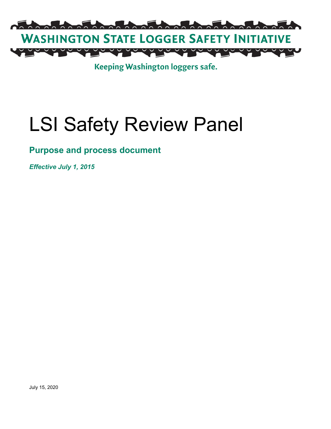

Keeping Washington loggers safe.

# LSI Safety Review Panel

## **Purpose and process document**

*Effective July 1, 2015*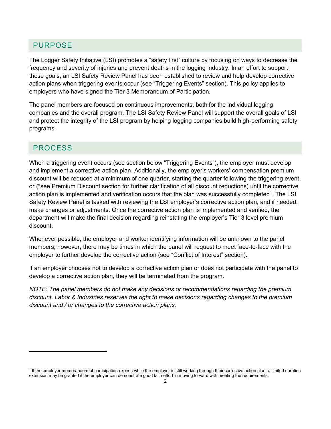#### PURPOSE

The Logger Safety Initiative (LSI) promotes a "safety first" culture by focusing on ways to decrease the frequency and severity of injuries and prevent deaths in the logging industry. In an effort to support these goals, an LSI Safety Review Panel has been established to review and help develop corrective action plans when triggering events occur (see "Triggering Events" section). This policy applies to employers who have signed the Tier 3 Memorandum of Participation.

The panel members are focused on continuous improvements, both for the individual logging companies and the overall program. The LSI Safety Review Panel will support the overall goals of LSI and protect the integrity of the LSI program by helping logging companies build high-performing safety programs.

#### PROCESS

 $\overline{\phantom{a}}$ 

When a triggering event occurs (see section below "Triggering Events"), the employer must develop and implement a corrective action plan. Additionally, the employer's workers' compensation premium discount will be reduced at a minimum of one quarter, starting the quarter following the triggering event, or (\*see Premium Discount section for further clarification of all discount reductions) until the corrective action plan is implemented and verification occurs that the plan was successfully completed<sup>[1](#page-1-0)</sup>. The LSI Safety Review Panel is tasked with reviewing the LSI employer's corrective action plan, and if needed, make changes or adjustments. Once the corrective action plan is implemented and verified, the department will make the final decision regarding reinstating the employer's Tier 3 level premium discount.

Whenever possible, the employer and worker identifying information will be unknown to the panel members; however, there may be times in which the panel will request to meet face-to-face with the employer to further develop the corrective action (see "Conflict of Interest" section).

If an employer chooses not to develop a corrective action plan or does not participate with the panel to develop a corrective action plan, they will be terminated from the program.

*NOTE: The panel members do not make any decisions or recommendations regarding the premium discount. Labor & Industries reserves the right to make decisions regarding changes to the premium discount and / or changes to the corrective action plans.* 

<span id="page-1-0"></span><sup>&</sup>lt;sup>1</sup> If the employer memorandum of participation expires while the employer is still working through their corrective action plan, a limited duration extension may be granted if the employer can demonstrate good faith effort in moving forward with meeting the requirements.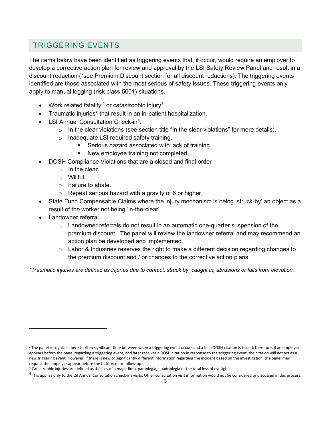### TRIGGERING EVENTS

The items below have been identified as triggering events that, if occur, would require an employer to develop a corrective action plan for review and approval by the LSI Safety Review Panel and result in a discount reduction (\*see Premium Discount section for all discount reductions). The triggering events identified are those associated with the most serious of safety issues. These triggering events only apply to manual logging (risk class 5001) situations.

- Work related fatality  $2$  or catastrophic injury  $3$
- Traumatic injuries\* that result in an in-patient hospitalization.
- LSI Annual Consultation Check-in<sup>[4](#page-2-2)</sup>:
	- $\circ$  In the clear violations (see section title "In the clear violations" for more details).
	- o Inadequate LSI required safety training.
		- **Serious hazard associated with lack of training**
		- New employee training not completed
- DOSH Compliance Violations that are a closed and final order
	- $\circ$  In the clear.
	- o Willful.
	- o Failure to abate.
	- $\circ$  Repeat serious hazard with a gravity of 6 or higher.
- State Fund Compensable Claims where the injury mechanism is being 'struck-by' an object as a result of the worker not being 'in-the-clear'.
- Landowner referral.

 $\overline{a}$ 

- $\circ$  Landowner referrals do not result in an automatic one-quarter suspension of the premium discount. The panel will review the landowner referral and may recommend an action plan be developed and implemented.
- $\circ$  Labor & Industries reserves the right to make a different decision regarding changes to the premium discount and / or changes to the corrective action plans.

*\*Traumatic injuries are defined as injuries due to contact, struck by, caught in, abrasions or falls from elevation.* 

<span id="page-2-0"></span><sup>&</sup>lt;sup>2</sup> The panel recognizes there is often significant time between when a triggering event occurs and a final DOSH citation is issued; therefore, if an employer appears before the panel regarding a triggering event, and later receives a DOSH citation in response to the triggering event, the citation will not act as a new triggering event. However, if there is new or significantly different information regarding the incident based on the investigation, the panel may request the employer appear before the taskforce for follow-up.

<span id="page-2-1"></span><sup>&</sup>lt;sup>3</sup> Catastrophic injuries are defined as the loss of a major limb, paraplegia, quadriplegia or the total loss of eyesight.

<span id="page-2-2"></span> $4$  This applies only to the LSI Annual Consultation check-ins visits. Other consultation visit information would not be considered or discussed in this process.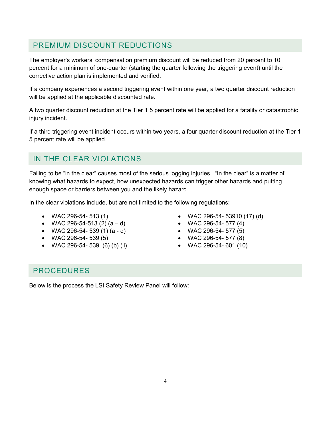#### PREMIUM DISCOUNT REDUCTIONS

The employer's workers' compensation premium discount will be reduced from 20 percent to 10 percent for a minimum of one-quarter (starting the quarter following the triggering event) until the corrective action plan is implemented and verified.

If a company experiences a second triggering event within one year, a two quarter discount reduction will be applied at the applicable discounted rate.

A two quarter discount reduction at the Tier 1 5 percent rate will be applied for a fatality or catastrophic injury incident.

If a third triggering event incident occurs within two years, a four quarter discount reduction at the Tier 1 5 percent rate will be applied.

### IN THE CLEAR VIOLATIONS

Failing to be "in the clear" causes most of the serious logging injuries. "In the clear" is a matter of knowing what hazards to expect, how unexpected hazards can trigger other hazards and putting enough space or barriers between you and the likely hazard.

In the clear violations include, but are not limited to the following regulations:

- 
- WAC 296-54-513 (2)  $(a d)$  WAC 296-54- 577 (4)
- WAC 296-54- 539 (1) (a d) WAC 296-54- 577 (5)
- 
- WAC 296-54- 539 (6) (b) (ii) WAC 296-54- 601 (10)
- WAC 296-54- 513 (1) WAC 296-54- 53910 (17) (d)
	-
	-
- WAC 296-54- 539 (5) WAC 296-54- 577 (8)
	-

#### PROCEDURES

Below is the process the LSI Safety Review Panel will follow: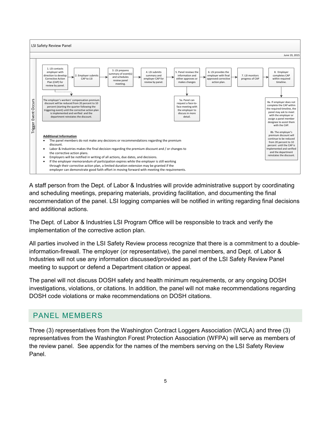

A staff person from the Dept. of Labor & Industries will provide administrative support by coordinating and scheduling meetings, preparing materials, providing facilitation, and documenting the final recommendation of the panel. LSI logging companies will be notified in writing regarding final decisions and additional actions.

The Dept. of Labor & Industries LSI Program Office will be responsible to track and verify the implementation of the corrective action plan.

All parties involved in the LSI Safety Review process recognize that there is a commitment to a doubleinformation-firewall. The employer (or representative), the panel members, and Dept. of Labor & Industries will not use any information discussed/provided as part of the LSI Safety Review Panel meeting to support or defend a Department citation or appeal.

The panel will not discuss DOSH safety and health minimum requirements, or any ongoing DOSH investigations, violations, or citations. In addition, the panel will not make recommendations regarding DOSH code violations or make recommendations on DOSH citations.

#### PANEL MEMBERS

Three (3) representatives from the Washington Contract Loggers Association (WCLA) and three (3) representatives from the Washington Forest Protection Association (WFPA) will serve as members of the review panel. See appendix for the names of the members serving on the LSI Safety Review Panel.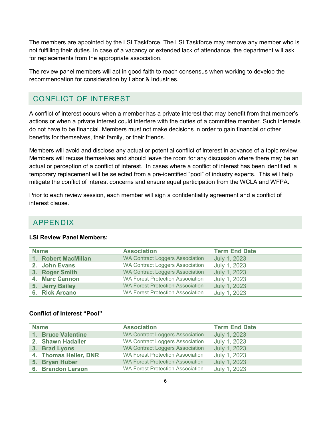The members are appointed by the LSI Taskforce. The LSI Taskforce may remove any member who is not fulfilling their duties. In case of a vacancy or extended lack of attendance, the department will ask for replacements from the appropriate association.

The review panel members will act in good faith to reach consensus when working to develop the recommendation for consideration by Labor & Industries.

#### CONFLICT OF INTEREST

A conflict of interest occurs when a member has a private interest that may benefit from that member's actions or when a private interest could interfere with the duties of a committee member. Such interests do not have to be financial. Members must not make decisions in order to gain financial or other benefits for themselves, their family, or their friends.

Members will avoid and disclose any actual or potential conflict of interest in advance of a topic review. Members will recuse themselves and should leave the room for any discussion where there may be an actual or perception of a conflict of interest. In cases where a conflict of interest has been identified, a temporary replacement will be selected from a pre-identified "pool" of industry experts. This will help mitigate the conflict of interest concerns and ensure equal participation from the WCLA and WFPA.

Prior to each review session, each member will sign a confidentiality agreement and a conflict of interest clause.

#### APPENDIX

| <b>Name</b> |                     | <b>Association</b>                      | <b>Term End Date</b> |
|-------------|---------------------|-----------------------------------------|----------------------|
|             | 1. Robert MacMillan | <b>WA Contract Loggers Association</b>  | July 1, 2023         |
|             | 2. John Evans       | <b>WA Contract Loggers Association</b>  | July 1, 2023         |
|             | 3. Roger Smith      | <b>WA Contract Loggers Association</b>  | July 1, 2023         |
|             | 4. Marc Cannon      | <b>WA Forest Protection Association</b> | July 1, 2023         |
|             | 5. Jerry Bailey     | <b>WA Forest Protection Association</b> | July 1, 2023         |
|             | 6. Rick Arcano      | <b>WA Forest Protection Association</b> | July 1, 2023         |

#### **LSI Review Panel Members:**

#### **Conflict of Interest "Pool"**

| <b>Name</b> |                       | <b>Association</b>                      | <b>Term End Date</b> |
|-------------|-----------------------|-----------------------------------------|----------------------|
|             | 1. Bruce Valentine    | <b>WA Contract Loggers Association</b>  | July 1, 2023         |
|             | 2. Shawn Hadaller     | <b>WA Contract Loggers Association</b>  | July 1, 2023         |
|             | 3. Brad Lyons         | <b>WA Contract Loggers Association</b>  | July 1, 2023         |
|             | 4. Thomas Heller, DNR | <b>WA Forest Protection Association</b> | July 1, 2023         |
|             | 5. Bryan Huber        | <b>WA Forest Protection Association</b> | July 1, 2023         |
|             | 6. Brandon Larson     | <b>WA Forest Protection Association</b> | July 1, 2023         |